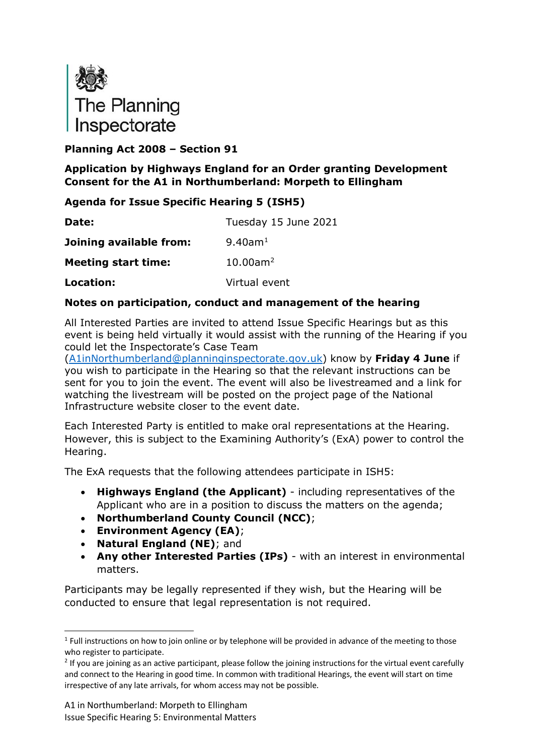

### **Planning Act 2008 – Section 91**

### **Application by Highways England for an Order granting Development Consent for the A1 in Northumberland: Morpeth to Ellingham**

### **Agenda for Issue Specific Hearing 5 (ISH5)**

| Date:                      | Tuesday 15 June 2021    |
|----------------------------|-------------------------|
| Joining available from:    | 9.40am <sup>1</sup>     |
| <b>Meeting start time:</b> | $10.00$ am <sup>2</sup> |
| Location:                  | Virtual event           |

### **Notes on participation, conduct and management of the hearing**

All Interested Parties are invited to attend Issue Specific Hearings but as this event is being held virtually it would assist with the running of the Hearing if you could let the Inspectorate's Case Team

[\(A1inNorthumberland@planninginspectorate.gov.uk\)](mailto:A1inNorthumberland@planninginspectorate.gov.uk) know by **Friday 4 June** if you wish to participate in the Hearing so that the relevant instructions can be sent for you to join the event. The event will also be livestreamed and a link for watching the livestream will be posted on the project page of the National Infrastructure website closer to the event date.

Each Interested Party is entitled to make oral representations at the Hearing. However, this is subject to the Examining Authority's (ExA) power to control the Hearing.

The ExA requests that the following attendees participate in ISH5:

- **Highways England (the Applicant)** including representatives of the Applicant who are in a position to discuss the matters on the agenda;
- **Northumberland County Council (NCC)**;
- **Environment Agency (EA)**;
- **Natural England (NE)**; and
- **Any other Interested Parties (IPs)** with an interest in environmental matters.

Participants may be legally represented if they wish, but the Hearing will be conducted to ensure that legal representation is not required.

<span id="page-0-0"></span> $1$  Full instructions on how to join online or by telephone will be provided in advance of the meeting to those who register to participate.

<span id="page-0-1"></span> $2$  If you are joining as an active participant, please follow the joining instructions for the virtual event carefully and connect to the Hearing in good time. In common with traditional Hearings, the event will start on time irrespective of any late arrivals, for whom access may not be possible.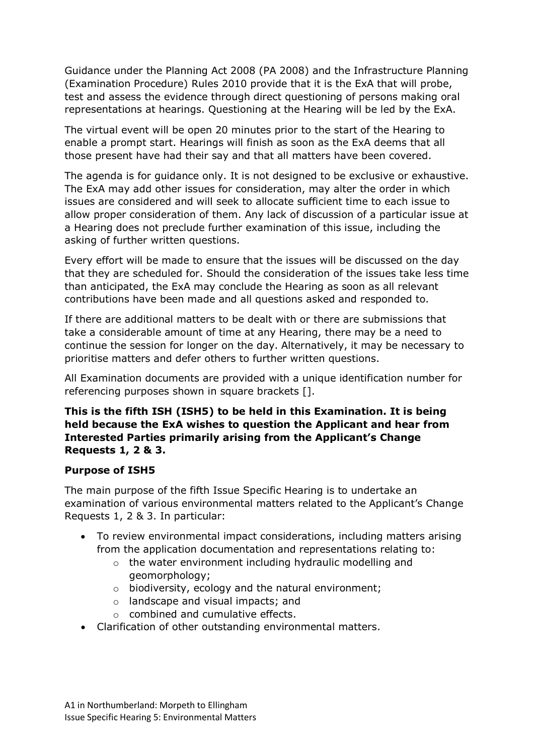Guidance under the Planning Act 2008 (PA 2008) and the Infrastructure Planning (Examination Procedure) Rules 2010 provide that it is the ExA that will probe, test and assess the evidence through direct questioning of persons making oral representations at hearings. Questioning at the Hearing will be led by the ExA.

The virtual event will be open 20 minutes prior to the start of the Hearing to enable a prompt start. Hearings will finish as soon as the ExA deems that all those present have had their say and that all matters have been covered.

The agenda is for guidance only. It is not designed to be exclusive or exhaustive. The ExA may add other issues for consideration, may alter the order in which issues are considered and will seek to allocate sufficient time to each issue to allow proper consideration of them. Any lack of discussion of a particular issue at a Hearing does not preclude further examination of this issue, including the asking of further written questions.

Every effort will be made to ensure that the issues will be discussed on the day that they are scheduled for. Should the consideration of the issues take less time than anticipated, the ExA may conclude the Hearing as soon as all relevant contributions have been made and all questions asked and responded to.

If there are additional matters to be dealt with or there are submissions that take a considerable amount of time at any Hearing, there may be a need to continue the session for longer on the day. Alternatively, it may be necessary to prioritise matters and defer others to further written questions.

All Examination documents are provided with a unique identification number for referencing purposes shown in square brackets [].

### **This is the fifth ISH (ISH5) to be held in this Examination. It is being held because the ExA wishes to question the Applicant and hear from Interested Parties primarily arising from the Applicant's Change Requests 1, 2 & 3.**

#### **Purpose of ISH5**

The main purpose of the fifth Issue Specific Hearing is to undertake an examination of various environmental matters related to the Applicant's Change Requests 1, 2 & 3. In particular:

- To review environmental impact considerations, including matters arising from the application documentation and representations relating to:
	- o the water environment including hydraulic modelling and geomorphology;
	- o biodiversity, ecology and the natural environment;
	- o landscape and visual impacts; and
	- o combined and cumulative effects.
- Clarification of other outstanding environmental matters.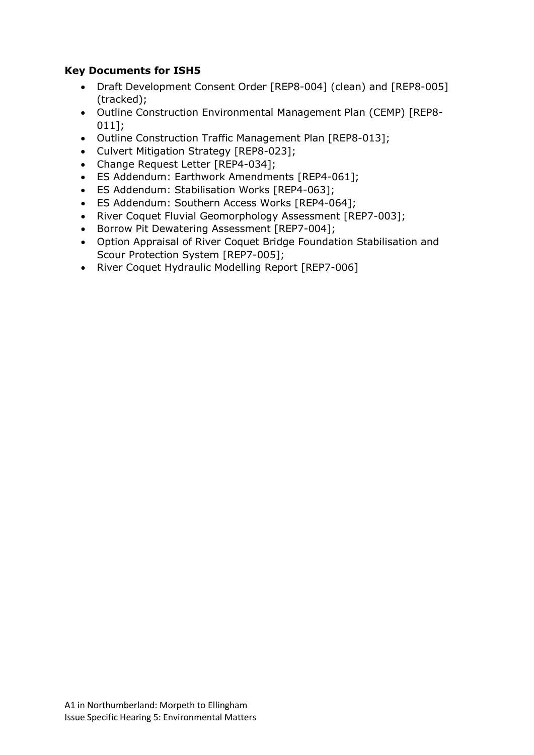### **Key Documents for ISH5**

- Draft Development Consent Order [REP8-004] (clean) and [REP8-005] (tracked);
- Outline Construction Environmental Management Plan (CEMP) [REP8- 011];
- Outline Construction Traffic Management Plan [REP8-013];
- Culvert Mitigation Strategy [REP8-023];
- Change Request Letter [REP4-034];
- ES Addendum: Earthwork Amendments [REP4-061];
- ES Addendum: Stabilisation Works [REP4-063];
- ES Addendum: Southern Access Works [REP4-064];
- River Coquet Fluvial Geomorphology Assessment [REP7-003];
- Borrow Pit Dewatering Assessment [REP7-004];
- Option Appraisal of River Coquet Bridge Foundation Stabilisation and Scour Protection System [REP7-005];
- River Coquet Hydraulic Modelling Report [REP7-006]